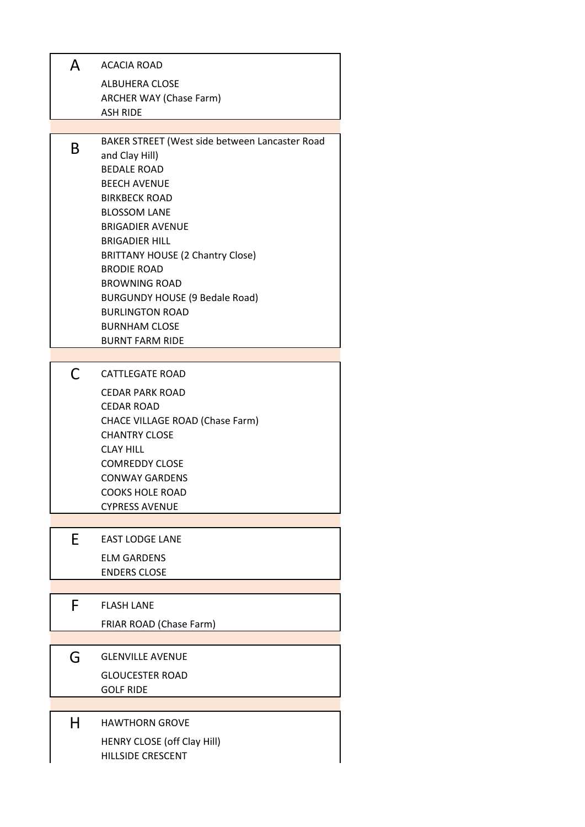| A  | ACACIA ROAD                                                      |
|----|------------------------------------------------------------------|
|    | <b>ALBUHERA CLOSE</b>                                            |
|    | ARCHER WAY (Chase Farm)                                          |
|    | <b>ASH RIDE</b>                                                  |
|    |                                                                  |
| B  | BAKER STREET (West side between Lancaster Road<br>and Clay Hill) |
|    | <b>BEDALE ROAD</b>                                               |
|    | <b>BEECH AVENUE</b>                                              |
|    | <b>BIRKBECK ROAD</b>                                             |
|    | <b>BLOSSOM LANE</b>                                              |
|    | <b>BRIGADIER AVENUE</b>                                          |
|    | <b>BRIGADIER HILL</b>                                            |
|    | <b>BRITTANY HOUSE (2 Chantry Close)</b>                          |
|    | <b>BRODIE ROAD</b>                                               |
|    | <b>BROWNING ROAD</b>                                             |
|    | <b>BURGUNDY HOUSE (9 Bedale Road)</b>                            |
|    | <b>BURLINGTON ROAD</b>                                           |
|    | <b>BURNHAM CLOSE</b>                                             |
|    | <b>BURNT FARM RIDE</b>                                           |
| C  | CATTLEGATE ROAD                                                  |
|    | <b>CEDAR PARK ROAD</b>                                           |
|    | <b>CEDAR ROAD</b>                                                |
|    | CHACE VILLAGE ROAD (Chase Farm)                                  |
|    | <b>CHANTRY CLOSE</b>                                             |
|    | <b>CLAY HILL</b>                                                 |
|    | <b>COMREDDY CLOSE</b>                                            |
|    | <b>CONWAY GARDENS</b>                                            |
|    | <b>COOKS HOLE ROAD</b>                                           |
|    | <b>CYPRESS AVENUE</b>                                            |
|    |                                                                  |
| E. | <b>EAST LODGE LANE</b>                                           |
|    | <b>ELM GARDENS</b>                                               |
|    | <b>ENDERS CLOSE</b>                                              |
|    |                                                                  |
| F  | <b>FLASH LANE</b>                                                |
|    | FRIAR ROAD (Chase Farm)                                          |
|    |                                                                  |
| G  | <b>GLENVILLE AVENUE</b>                                          |
|    | <b>GLOUCESTER ROAD</b>                                           |
|    | <b>GOLF RIDE</b>                                                 |
|    |                                                                  |
| н  | <b>HAWTHORN GROVE</b>                                            |
|    | HENRY CLOSE (off Clay Hill)                                      |
|    | <b>HILLSIDE CRESCENT</b>                                         |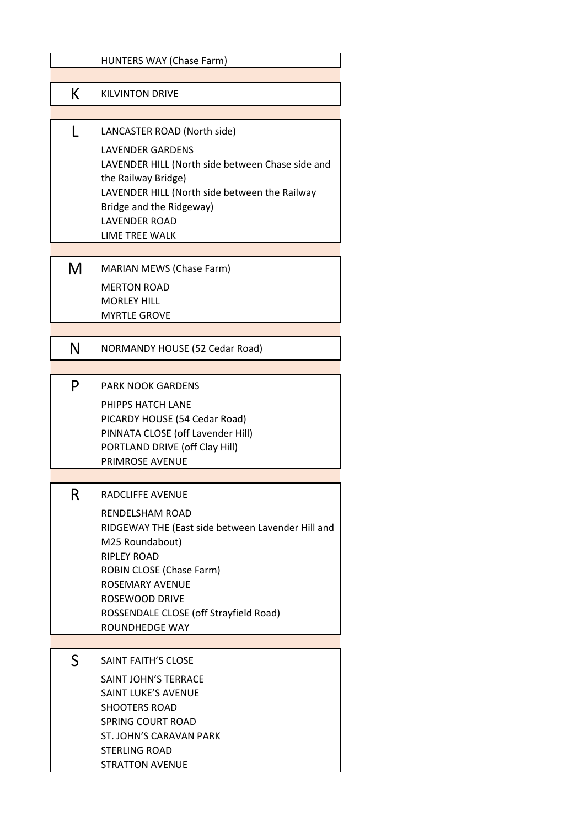|    | HUNTERS WAY (Chase Farm)                                                                                                                                                                                                  |
|----|---------------------------------------------------------------------------------------------------------------------------------------------------------------------------------------------------------------------------|
| K. | <b>KILVINTON DRIVE</b>                                                                                                                                                                                                    |
|    |                                                                                                                                                                                                                           |
| L  | LANCASTER ROAD (North side)                                                                                                                                                                                               |
|    | <b>LAVENDER GARDENS</b><br>LAVENDER HILL (North side between Chase side and<br>the Railway Bridge)<br>LAVENDER HILL (North side between the Railway<br>Bridge and the Ridgeway)<br><b>LAVENDER ROAD</b><br>LIME TREE WALK |
|    |                                                                                                                                                                                                                           |
| M  | <b>MARIAN MEWS (Chase Farm)</b>                                                                                                                                                                                           |
|    | <b>MERTON ROAD</b>                                                                                                                                                                                                        |
|    | <b>MORLEY HILL</b><br><b>MYRTLE GROVE</b>                                                                                                                                                                                 |
|    |                                                                                                                                                                                                                           |
| N  | NORMANDY HOUSE (52 Cedar Road)                                                                                                                                                                                            |
|    |                                                                                                                                                                                                                           |
| P  | <b>PARK NOOK GARDENS</b>                                                                                                                                                                                                  |
|    | PHIPPS HATCH LANE<br>PICARDY HOUSE (54 Cedar Road)                                                                                                                                                                        |
|    | PINNATA CLOSE (off Lavender Hill)                                                                                                                                                                                         |
|    | PORTLAND DRIVE (off Clay Hill)                                                                                                                                                                                            |
|    | PRIMROSE AVENUE                                                                                                                                                                                                           |
| R  | RADCLIFFE AVENUE                                                                                                                                                                                                          |
|    | RENDELSHAM ROAD                                                                                                                                                                                                           |
|    | RIDGEWAY THE (East side between Lavender Hill and                                                                                                                                                                         |
|    | M25 Roundabout)<br><b>RIPLEY ROAD</b>                                                                                                                                                                                     |
|    | <b>ROBIN CLOSE (Chase Farm)</b>                                                                                                                                                                                           |
|    | ROSEMARY AVENUE<br><b>ROSEWOOD DRIVE</b>                                                                                                                                                                                  |
|    | ROSSENDALE CLOSE (off Strayfield Road)                                                                                                                                                                                    |
|    | ROUNDHEDGE WAY                                                                                                                                                                                                            |
| S  | SAINT FAITH'S CLOSE                                                                                                                                                                                                       |
|    | SAINT JOHN'S TERRACE                                                                                                                                                                                                      |
|    | <b>SAINT LUKE'S AVENUE</b>                                                                                                                                                                                                |
|    | <b>SHOOTERS ROAD</b>                                                                                                                                                                                                      |
|    | <b>SPRING COURT ROAD</b><br>ST. JOHN'S CARAVAN PARK                                                                                                                                                                       |
|    | <b>STERLING ROAD</b>                                                                                                                                                                                                      |
|    | <b>STRATTON AVENUE</b>                                                                                                                                                                                                    |